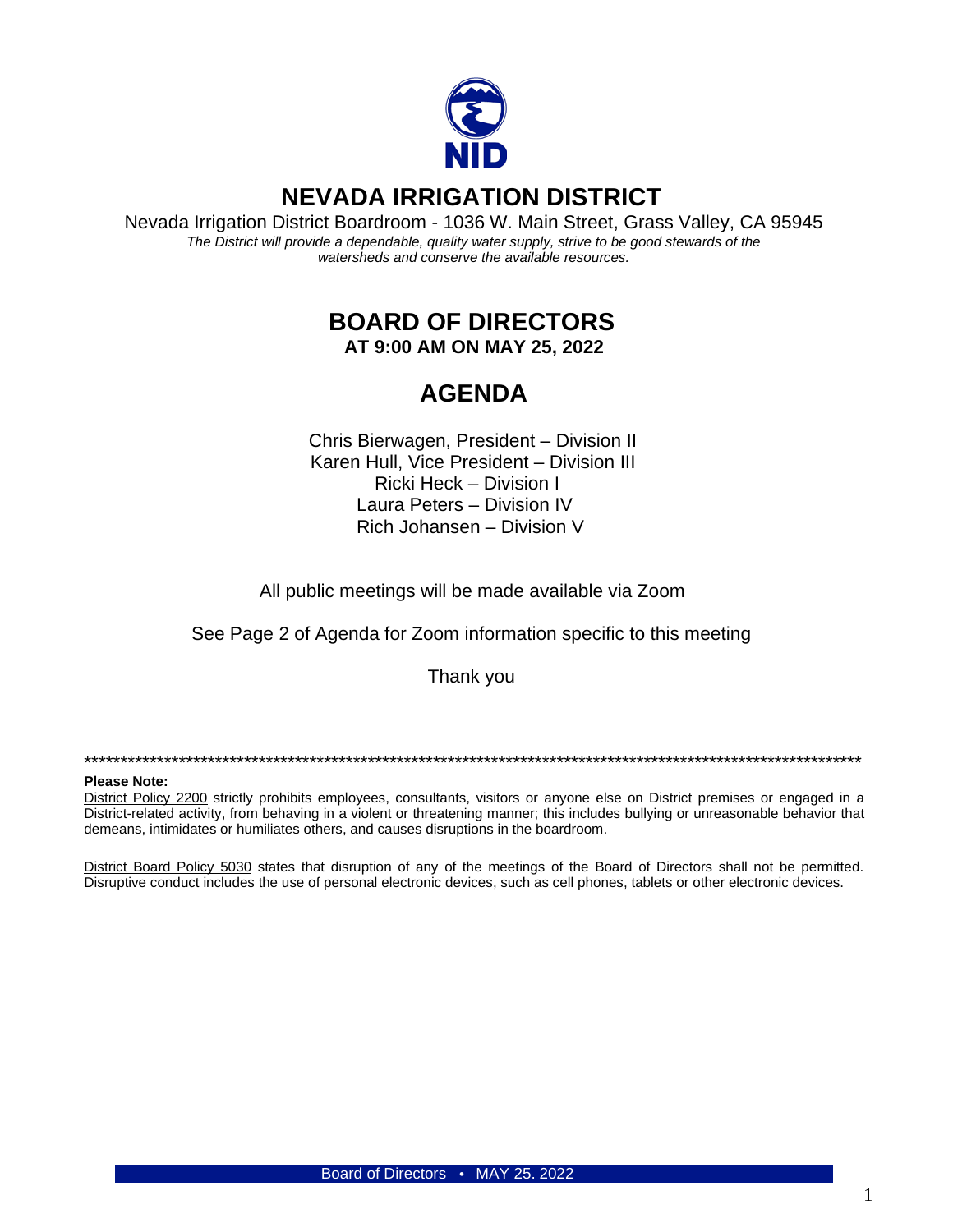

## **NEVADA IRRIGATION DISTRICT**

Nevada Irrigation District Boardroom - 1036 W. Main Street, Grass Valley, CA 95945 The District will provide a dependable, quality water supply, strive to be good stewards of the watersheds and conserve the available resources.

# **BOARD OF DIRECTORS**

AT 9:00 AM ON MAY 25, 2022

# **AGENDA**

Chris Bierwagen, President - Division II Karen Hull, Vice President - Division III Ricki Heck - Division I Laura Peters - Division IV Rich Johansen - Division V

All public meetings will be made available via Zoom

See Page 2 of Agenda for Zoom information specific to this meeting

Thank you

#### **Please Note:**

District Policy 2200 strictly prohibits employees, consultants, visitors or anyone else on District premises or engaged in a District-related activity, from behaving in a violent or threatening manner; this includes bullying or unreasonable behavior that demeans, intimidates or humiliates others, and causes disruptions in the boardroom.

District Board Policy 5030 states that disruption of any of the meetings of the Board of Directors shall not be permitted. Disruptive conduct includes the use of personal electronic devices, such as cell phones, tablets or other electronic devices.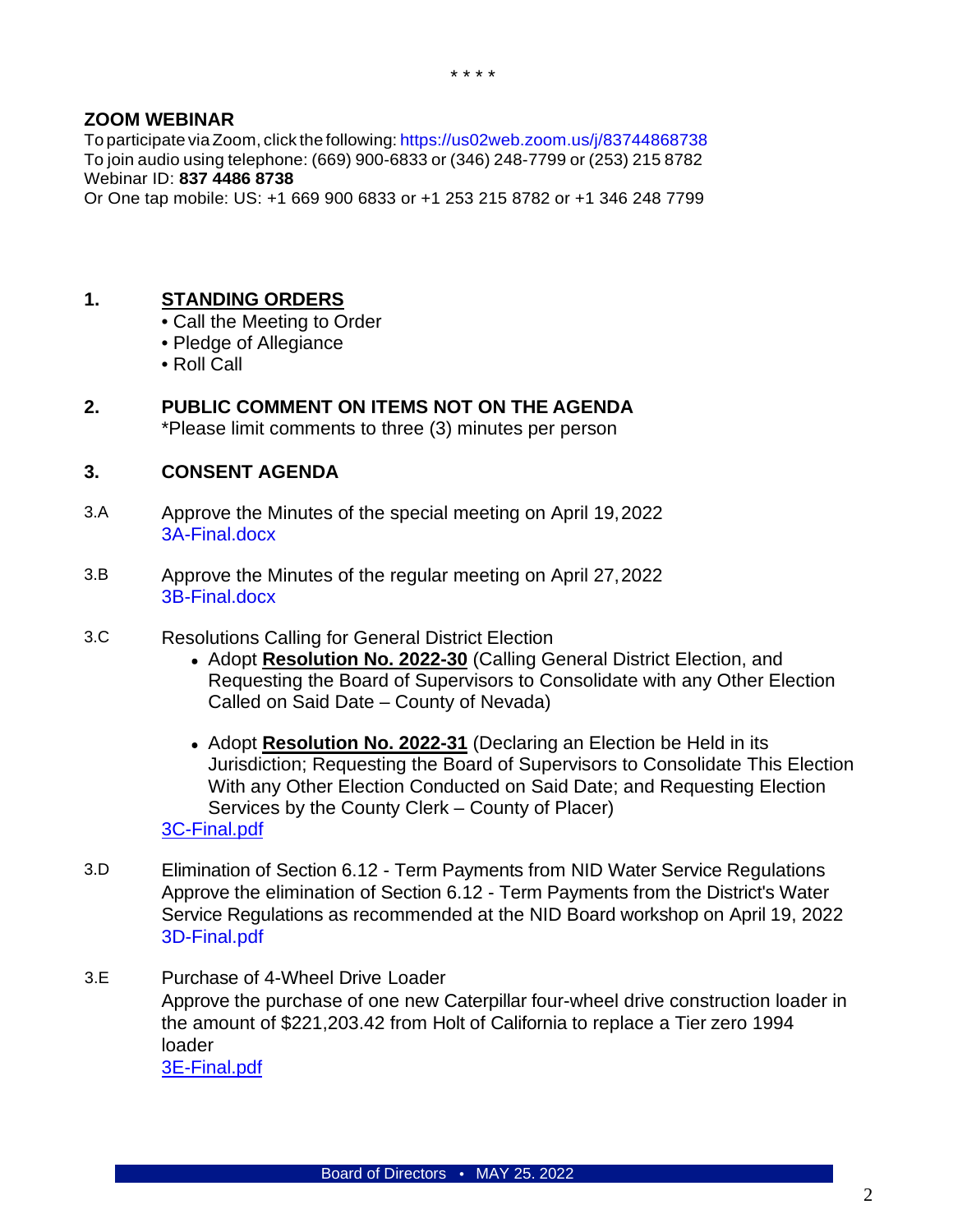#### **ZOOM WEBINAR**

To participate viaZoom, click the following: <https://us02web.zoom.us/j/83744868738> To join audio using telephone: (669) 900-6833 or (346) 248-7799 or (253) 215 8782 Webinar ID: **837 4486 8738**

Or One tap mobile: US: +1 669 900 6833 or +1 253 215 8782 or +1 346 248 7799

### **1. STANDING ORDERS**

- Call the Meeting to Order
- Pledge of Allegiance
- Roll Call
- **2. PUBLIC COMMENT ON ITEMS NOT ON THE AGENDA** \*Please limit comments to three (3) minutes per person

#### **3. CONSENT AGENDA**

- 3.A Approve the Minutes of the special meeting on April 19,202[2](https://www.nidwater.com/files/0e41f2f55/3A-Final.pdf) [3A-Final.docx](https://www.nidwater.com/files/0e41f2f55/3A-Final.pdf)
- 3.B Approve the Minutes of the regular meeting on April 27,202[2](https://www.nidwater.com/files/590151191/3B-Final.pdf) [3B-Final.docx](https://www.nidwater.com/files/590151191/3B-Final.pdf)
- 3.C Resolutions Calling for General District Election
	- Adopt **Resolution No. 2022-30** (Calling General District Election, and Requesting the Board of Supervisors to Consolidate with any Other Election Called on Said Date – County of Nevada)
	- Adopt Resolution No. 2022-31 (Declaring an Election be Held in its Jurisdiction; Requesting the Board of Supervisors to Consolidate This Election With any Other Election Conducted on Said Date; and Requesting Election Services by the County Clerk – County of Placer) [3C-Final.pdf](https://www.nidwater.com/files/acff1ff90/3C-Final.pdf)
- 3.D Elimination of Section 6.12 Term Payments from NID Water Service Regulations Approve the elimination of Section 6.12 - Term Payments from the District's Water Service Regulations as recommended at the NID Board workshop on April 19, 2022 [3D-Final.pdf](https://www.nidwater.com/files/c460a2fee/3D-Final.pdf)
- 3.E Purchase of 4-Wheel Drive Loader Approve the purchase of one new Caterpillar four-wheel drive construction loader in the amount of \$221,203.42 from Holt of California to replace a Tier zero 1994 loader [3E-Final.pdf](https://www.nidwater.com/files/d48f1bd5a/3E-Final.pdf)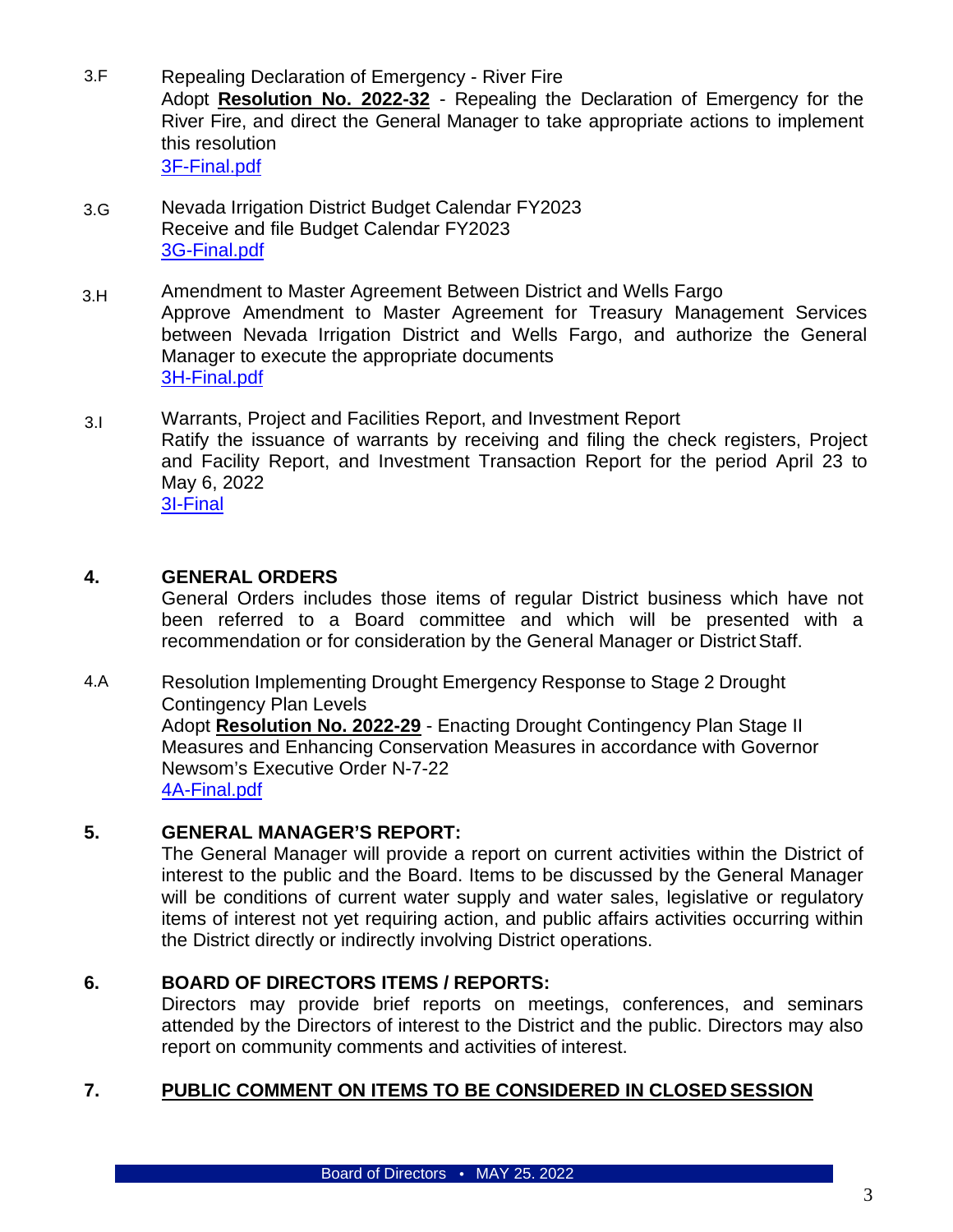- 3.F Repealing Declaration of Emergency - River Fire Adopt **Resolution No. 2022-32** - Repealing the Declaration of Emergency for the River Fire, and direct the General Manager to take appropriate actions to implement this resolution [3F-Final.pdf](https://www.nidwater.com/files/81611a0c7/3F-Final.pdf)
- 3.G Nevada Irrigation District Budget Calendar FY2023 Receive and file Budget Calendar FY2023 [3G-Final.pdf](https://www.nidwater.com/files/038181aac/3G-Final.pdf)
- 3.H Amendment to Master Agreement Between District and Wells Fargo Approve Amendment to Master Agreement for Treasury Management Services between Nevada Irrigation District and Wells Fargo, and authorize the General Manager to execute the appropriate documents [3H-Final.pdf](https://www.nidwater.com/files/e34049879/3H-Final.pdf)
- 3.I Warrants, Project and Facilities Report, and Investment Report Ratify the issuance of warrants by receiving and filing the check registers, Project and Facility Report, and Investment Transaction Report for the period April 23 to May 6, 2022 [3I-Final](https://www.nidwater.com/files/bf973c0b8/3I-Final.pdf)

### **4. GENERAL ORDERS**

General Orders includes those items of regular District business which have not been referred to a Board committee and which will be presented with a recommendation or for consideration by the General Manager or District Staff.

4.A Resolution Implementing Drought Emergency Response to Stage 2 Drought Contingency Plan Levels Adopt **Resolution No. 2022-29** - Enacting Drought Contingency Plan Stage II Measures and Enhancing Conservation Measures in accordance with Governor Newsom's Executive Order N-7-22 [4A-Final.pdf](https://www.nidwater.com/files/a94d988a1/4A-Final.pdf)

#### **5. GENERAL MANAGER'S REPORT:**

The General Manager will provide a report on current activities within the District of interest to the public and the Board. Items to be discussed by the General Manager will be conditions of current water supply and water sales, legislative or regulatory items of interest not yet requiring action, and public affairs activities occurring within the District directly or indirectly involving District operations.

#### **6. BOARD OF DIRECTORS ITEMS / REPORTS:**

Directors may provide brief reports on meetings, conferences, and seminars attended by the Directors of interest to the District and the public. Directors may also report on community comments and activities of interest.

## **7. PUBLIC COMMENT ON ITEMS TO BE CONSIDERED IN CLOSED SESSION**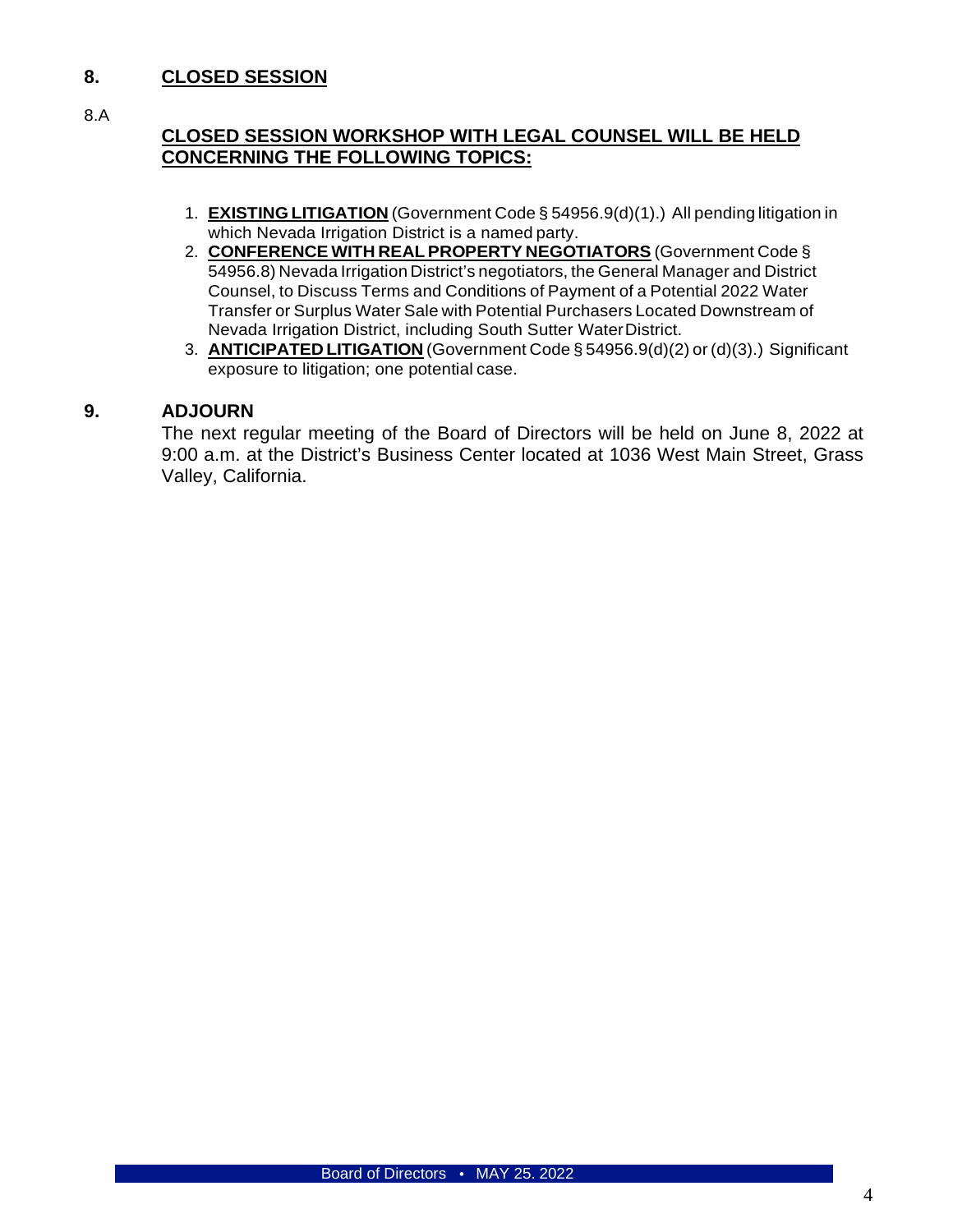#### **8. CLOSED SESSION**

8.A

### **CLOSED SESSION WORKSHOP WITH LEGAL COUNSEL WILL BE HELD CONCERNING THE FOLLOWING TOPICS:**

- 1. **EXISTING LITIGATION** (Government Code § 54956.9(d)(1).) All pending litigation in which Nevada Irrigation District is a named party.
- 2. **CONFERENCE WITH REAL PROPERTY NEGOTIATORS** (Government Code § 54956.8) Nevada Irrigation District's negotiators, the General Manager and District Counsel, to Discuss Terms and Conditions of Payment of a Potential 2022 Water Transfer or Surplus Water Sale with Potential Purchasers Located Downstream of Nevada Irrigation District, including South Sutter WaterDistrict.
- 3. **ANTICIPATED LITIGATION** (Government Code § 54956.9(d)(2) or (d)(3).) Significant exposure to litigation; one potential case.

#### **9. ADJOURN**

The next regular meeting of the Board of Directors will be held on June 8, 2022 at 9:00 a.m. at the District's Business Center located at 1036 West Main Street, Grass Valley, California.